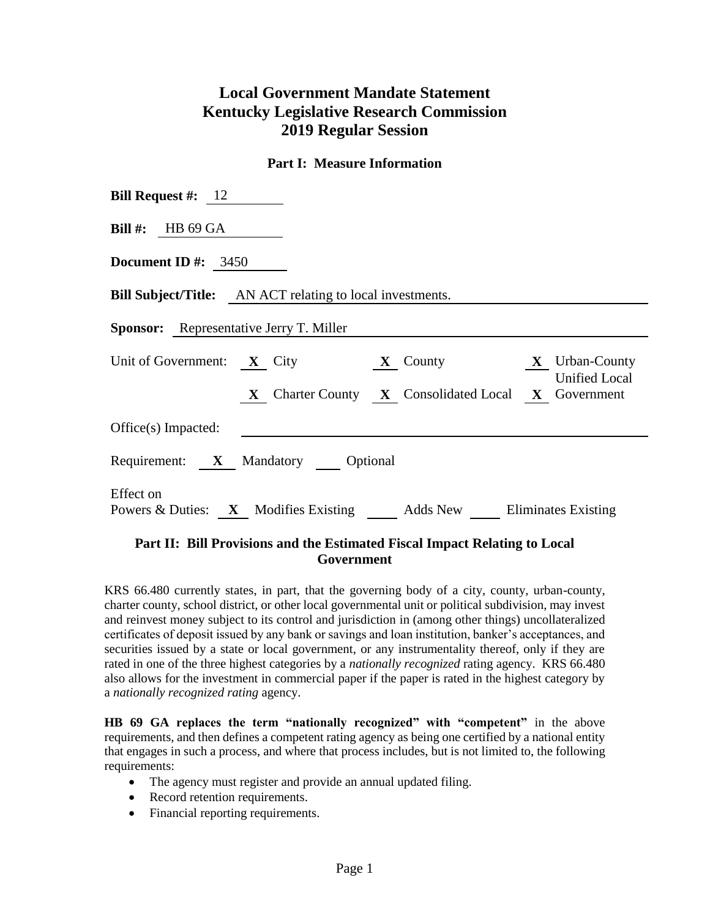# **Local Government Mandate Statement Kentucky Legislative Research Commission 2019 Regular Session**

### **Part I: Measure Information**

| <b>Bill Request #:</b> $12$                                                    |  |  |  |  |  |  |
|--------------------------------------------------------------------------------|--|--|--|--|--|--|
| <b>Bill</b> #: HB 69 GA                                                        |  |  |  |  |  |  |
| Document ID #: $3450$                                                          |  |  |  |  |  |  |
| <b>Bill Subject/Title:</b> AN ACT relating to local investments.               |  |  |  |  |  |  |
| <b>Sponsor:</b> Representative Jerry T. Miller                                 |  |  |  |  |  |  |
| Unit of Government: X City X County X Urban-County<br><b>Unified Local</b>     |  |  |  |  |  |  |
| X Charter County X Consolidated Local X Government                             |  |  |  |  |  |  |
| $Office(s)$ Impacted:                                                          |  |  |  |  |  |  |
| Requirement: X Mandatory Optional                                              |  |  |  |  |  |  |
| Effect on<br>Powers & Duties: X Modifies Existing Adds New Eliminates Existing |  |  |  |  |  |  |

## **Part II: Bill Provisions and the Estimated Fiscal Impact Relating to Local Government**

KRS 66.480 currently states, in part, that the governing body of a city, county, urban-county, charter county, school district, or other local governmental unit or political subdivision, may invest and reinvest money subject to its control and jurisdiction in (among other things) uncollateralized certificates of deposit issued by any bank or savings and loan institution, banker's acceptances, and securities issued by a state or local government, or any instrumentality thereof, only if they are rated in one of the three highest categories by a *nationally recognized* rating agency. KRS 66.480 also allows for the investment in commercial paper if the paper is rated in the highest category by a *nationally recognized rating* agency.

**HB 69 GA replaces the term "nationally recognized" with "competent"** in the above requirements, and then defines a competent rating agency as being one certified by a national entity that engages in such a process, and where that process includes, but is not limited to, the following requirements:

- The agency must register and provide an annual updated filing.
- Record retention requirements.
- Financial reporting requirements.